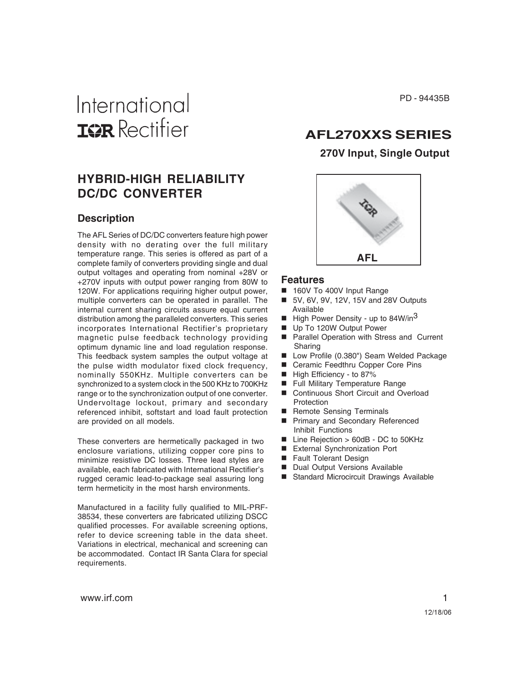# International **ISR** Rectifier

# **HYBRID-HIGH RELIABILITY DC/DC CONVERTER**

#### **Description**

The AFL Series of DC/DC converters feature high power density with no derating over the full military temperature range. This series is offered as part of a complete family of converters providing single and dual output voltages and operating from nominal +28V or +270V inputs with output power ranging from 80W to 120W. For applications requiring higher output power, multiple converters can be operated in parallel. The internal current sharing circuits assure equal current distribution among the paralleled converters. This series incorporates International Rectifier's proprietary magnetic pulse feedback technology providing optimum dynamic line and load regulation response. This feedback system samples the output voltage at the pulse width modulator fixed clock frequency, nominally 550KHz. Multiple converters can be synchronized to a system clock in the 500 KHz to 700KHz range or to the synchronization output of one converter. Undervoltage lockout, primary and secondary referenced inhibit, softstart and load fault protection are provided on all models.

These converters are hermetically packaged in two enclosure variations, utilizing copper core pins to minimize resistive DC losses. Three lead styles are available, each fabricated with International Rectifier's rugged ceramic lead-to-package seal assuring long term hermeticity in the most harsh environments.

Manufactured in a facility fully qualified to MIL-PRF-38534, these converters are fabricated utilizing DSCC qualified processes. For available screening options, refer to device screening table in the data sheet. Variations in electrical, mechanical and screening can be accommodated. Contact IR Santa Clara for special requirements.

PD - 94435B

# **AFL270XXS SERIES**

# **270V Input, Single Output**



#### **Features**

- 160V To 400V Input Range
- 5V, 6V, 9V, 12V, 15V and 28V Outputs Available
- **High Power Density up to 84W/in<sup>3</sup>**
- Up To 120W Output Power
- Parallel Operation with Stress and Current Sharing
- Low Profile (0.380") Seam Welded Package
- Ceramic Feedthru Copper Core Pins
- High Efficiency to 87%
- Full Military Temperature Range
- Continuous Short Circuit and Overload **Protection**
- Remote Sensing Terminals
- **Primary and Secondary Referenced** Inhibit Functions
- Line Rejection > 60dB DC to 50KHz
- External Synchronization Port
- Fault Tolerant Design
- Dual Output Versions Available
- Standard Microcircuit Drawings Available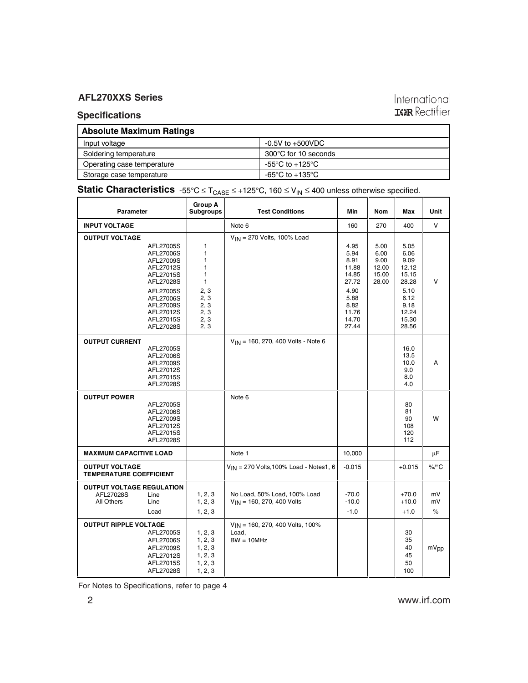# **Specifications**

| <b>Absolute Maximum Ratings</b> |                      |
|---------------------------------|----------------------|
| Input voltage                   | $-0.5V$ to $+500VDC$ |
| Soldering temperature           | 300°C for 10 seconds |
| Operating case temperature      | -55°C to +125°C      |
| Storage case temperature        | -65°C to +135°C      |

# **Static Characteristics**  $-55^{\circ}C \le T_{CASE} \le +125^{\circ}C$ , 160  $\le V_{IN} \le 400$  unless otherwise specified.

| Parameter                                                   |                                                                                                      | Group A<br><b>Subgroups</b><br><b>Test Conditions</b>                       |                                                                | Min                                                             | <b>Nom</b>                                      | Max                                                             | Unit             |
|-------------------------------------------------------------|------------------------------------------------------------------------------------------------------|-----------------------------------------------------------------------------|----------------------------------------------------------------|-----------------------------------------------------------------|-------------------------------------------------|-----------------------------------------------------------------|------------------|
| <b>INPUT VOLTAGE</b>                                        |                                                                                                      |                                                                             | Note 6                                                         | 160                                                             | 270                                             | 400                                                             | V                |
| <b>OUTPUT VOLTAGE</b>                                       |                                                                                                      |                                                                             | $V_{IN}$ = 270 Volts, 100% Load                                |                                                                 |                                                 |                                                                 |                  |
|                                                             | AFL27005S<br>AFL27006S<br>AFL27009S<br>AFL27012S<br>AFL27015S<br>AFL27028S<br>AFL27005S<br>AFL27006S | $\mathbf{1}$<br>$\mathbf{1}$<br>1<br>1<br>1<br>$\mathbf{1}$<br>2, 3<br>2, 3 |                                                                | 4.95<br>5.94<br>8.91<br>11.88<br>14.85<br>27.72<br>4.90<br>5.88 | 5.00<br>6.00<br>9.00<br>12.00<br>15.00<br>28.00 | 5.05<br>6.06<br>9.09<br>12.12<br>15.15<br>28.28<br>5.10<br>6.12 | v                |
|                                                             | AFL27009S<br>AFL27012S<br>AFL27015S<br>AFL27028S                                                     | 2, 3<br>2, 3<br>2, 3<br>2, 3                                                |                                                                | 8.82<br>11.76<br>14.70<br>27.44                                 |                                                 | 9.18<br>12.24<br>15.30<br>28.56                                 |                  |
| <b>OUTPUT CURRENT</b>                                       |                                                                                                      |                                                                             | $V_{IN}$ = 160, 270, 400 Volts - Note 6                        |                                                                 |                                                 |                                                                 |                  |
|                                                             | AFL27005S<br>AFL27006S<br>AFL27009S<br>AFL27012S<br>AFL27015S<br>AFL27028S                           |                                                                             |                                                                |                                                                 |                                                 | 16.0<br>13.5<br>10.0<br>9.0<br>8.0<br>4.0                       | A                |
| <b>OUTPUT POWER</b>                                         |                                                                                                      |                                                                             | Note 6                                                         |                                                                 |                                                 |                                                                 |                  |
|                                                             | AFL27005S<br>AFL27006S<br>AFL27009S<br>AFL27012S<br>AFL27015S<br>AFL27028S                           |                                                                             |                                                                |                                                                 |                                                 | 80<br>81<br>90<br>108<br>120<br>112                             | W                |
| <b>MAXIMUM CAPACITIVE LOAD</b>                              |                                                                                                      |                                                                             | Note 1                                                         | 10,000                                                          |                                                 |                                                                 | μF               |
| <b>OUTPUT VOLTAGE</b><br><b>TEMPERATURE COEFFICIENT</b>     |                                                                                                      |                                                                             | $V_{IN}$ = 270 Volts, 100% Load - Notes1, 6                    | $-0.015$                                                        |                                                 | $+0.015$                                                        | $\%$ /°C         |
| <b>OUTPUT VOLTAGE REGULATION</b><br>AFL27028S<br>All Others | Line<br>Line<br>Load                                                                                 | 1, 2, 3<br>1, 2, 3<br>1, 2, 3                                               | No Load, 50% Load, 100% Load<br>$V_{IN}$ = 160, 270, 400 Volts | $-70.0$<br>$-10.0$<br>$-1.0$                                    |                                                 | $+70.0$<br>$+10.0$<br>$+1.0$                                    | mV<br>mV<br>$\%$ |
| <b>OUTPUT RIPPLE VOLTAGE</b>                                | AFL27005S<br>AFL27006S<br>AFL27009S<br>AFL27012S<br>AFL27015S<br>AFL27028S                           | 1, 2, 3<br>1, 2, 3<br>1, 2, 3<br>1, 2, 3<br>1, 2, 3<br>1, 2, 3              | VIN = 160, 270, 400 Volts, 100%<br>Load,<br>$BW = 10MHz$       |                                                                 |                                                 | 30<br>35<br>40<br>45<br>50<br>100                               | mV <sub>pp</sub> |

For Notes to Specifications, refer to page 4

International<br>**IGR** Rectifier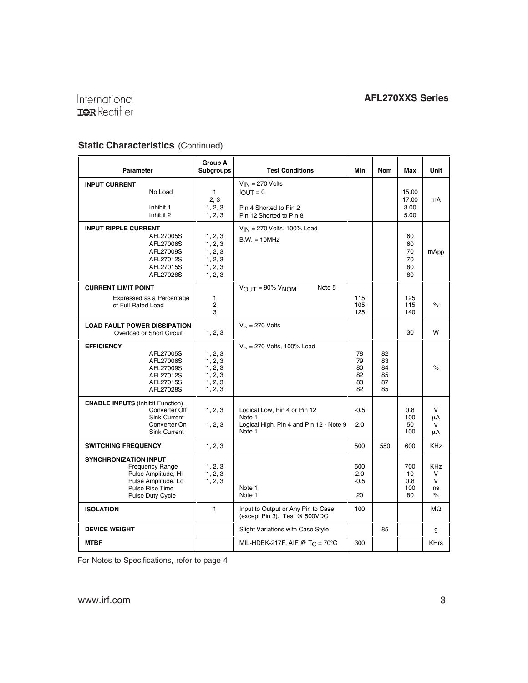# International<br>TRER Rectifier

i.

# **Static Characteristics** (Continued)

| Parameter                                                                                                                                   | <b>Group A</b><br><b>Subgroups</b>                             | <b>Test Conditions</b>                                                                      | Min                              | Nom                              | Max                              | Unit                                    |
|---------------------------------------------------------------------------------------------------------------------------------------------|----------------------------------------------------------------|---------------------------------------------------------------------------------------------|----------------------------------|----------------------------------|----------------------------------|-----------------------------------------|
| <b>INPUT CURRENT</b><br>No Load<br>Inhibit 1<br>Inhibit 2                                                                                   | $\mathbf{1}$<br>2, 3<br>1, 2, 3<br>1, 2, 3                     | $V_{IN}$ = 270 Volts<br>$IOUT = 0$<br>Pin 4 Shorted to Pin 2<br>Pin 12 Shorted to Pin 8     |                                  |                                  | 15.00<br>17.00<br>3.00<br>5.00   | mA                                      |
| <b>INPUT RIPPLE CURRENT</b><br>AFL27005S<br>AFL27006S<br>AFL27009S<br>AFL27012S<br>AFL27015S<br>AFL27028S                                   | 1, 2, 3<br>1, 2, 3<br>1, 2, 3<br>1, 2, 3<br>1, 2, 3<br>1, 2, 3 | $V_{IN}$ = 270 Volts, 100% Load<br>$B.W. = 10MHz$                                           |                                  |                                  | 60<br>60<br>70<br>70<br>80<br>80 | mApp                                    |
| <b>CURRENT LIMIT POINT</b><br>Expressed as a Percentage                                                                                     | 1                                                              | $V_{\text{OUT}} = 90\% V_{\text{NOM}}$<br>Note 5                                            | 115                              |                                  | 125                              |                                         |
| of Full Rated Load                                                                                                                          | $\overline{2}$<br>3                                            |                                                                                             | 105<br>125                       |                                  | 115<br>140                       | $\%$                                    |
| <b>LOAD FAULT POWER DISSIPATION</b><br>Overload or Short Circuit                                                                            | 1, 2, 3                                                        | $V_{IN}$ = 270 Volts                                                                        |                                  |                                  | 30                               | W                                       |
| <b>EFFICIENCY</b><br>AFL27005S<br>AFL27006S<br>AFL27009S<br>AFL27012S<br>AFL27015S<br>AFL27028S                                             | 1, 2, 3<br>1, 2, 3<br>1, 2, 3<br>1, 2, 3<br>1, 2, 3<br>1, 2, 3 | $V_{IN}$ = 270 Volts, 100% Load                                                             | 78<br>79<br>80<br>82<br>83<br>82 | 82<br>83<br>84<br>85<br>87<br>85 |                                  | $\%$                                    |
| <b>ENABLE INPUTS (Inhibit Function)</b><br>Converter Off<br><b>Sink Current</b><br>Converter On<br><b>Sink Current</b>                      | 1, 2, 3<br>1, 2, 3                                             | Logical Low, Pin 4 or Pin 12<br>Note 1<br>Logical High, Pin 4 and Pin 12 - Note 9<br>Note 1 | $-0.5$<br>2.0                    |                                  | 0.8<br>100<br>50<br>100          | $\mathsf{V}$<br>μA<br>V<br>μA           |
| <b>SWITCHING FREQUENCY</b>                                                                                                                  | 1, 2, 3                                                        |                                                                                             | 500                              | 550                              | 600                              | <b>KHz</b>                              |
| <b>SYNCHRONIZATION INPUT</b><br><b>Frequency Range</b><br>Pulse Amplitude, Hi<br>Pulse Amplitude, Lo<br>Pulse Rise Time<br>Pulse Duty Cycle | 1, 2, 3<br>1, 2, 3<br>1, 2, 3                                  | Note 1<br>Note 1                                                                            | 500<br>2.0<br>$-0.5$<br>20       |                                  | 700<br>10<br>0.8<br>100<br>80    | <b>KHz</b><br>$\vee$<br>V<br>ns<br>$\%$ |
| <b>ISOLATION</b>                                                                                                                            | $\mathbf{1}$                                                   | Input to Output or Any Pin to Case<br>(except Pin 3). Test @ 500VDC                         | 100                              |                                  |                                  | $M\Omega$                               |
| <b>DEVICE WEIGHT</b>                                                                                                                        |                                                                | Slight Variations with Case Style                                                           |                                  | 85                               |                                  | g                                       |
| <b>MTBF</b>                                                                                                                                 |                                                                | MIL-HDBK-217F, AIF @ T <sub>C</sub> = 70°C                                                  | 300                              |                                  |                                  | <b>KHrs</b>                             |

For Notes to Specifications, refer to page 4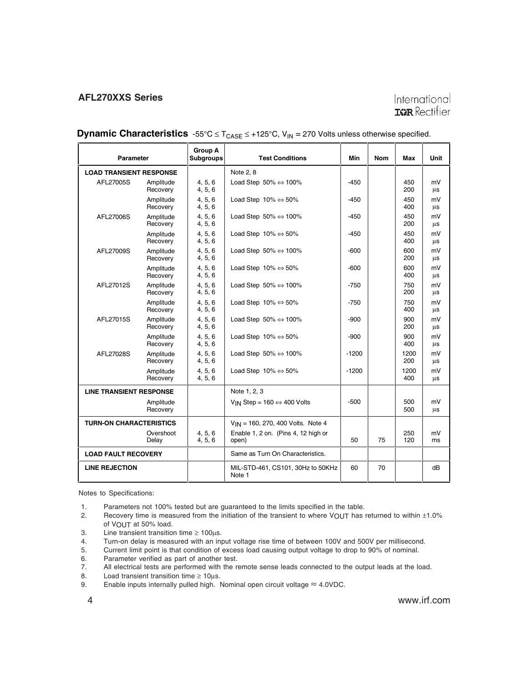# International **IGR** Rectifier

| <b>Parameter</b>               |                       | <b>Group A</b><br><b>Subgroups</b> | <b>Test Conditions</b>                                 | Min     | <b>Nom</b> | Max         | Unit     |
|--------------------------------|-----------------------|------------------------------------|--------------------------------------------------------|---------|------------|-------------|----------|
| <b>LOAD TRANSIENT RESPONSE</b> |                       |                                    | Note 2, 8                                              |         |            |             |          |
| AFL27005S                      | Amplitude<br>Recovery | 4, 5, 6<br>4, 5, 6                 | Load Step $50\% \Leftrightarrow 100\%$                 | $-450$  |            | 450<br>200  | mV<br>μs |
|                                | Amplitude<br>Recovery | 4, 5, 6<br>4, 5, 6                 | Load Step $10\% \Leftrightarrow 50\%$                  | $-450$  |            | 450<br>400  | mV<br>μs |
| AFL27006S                      | Amplitude<br>Recovery | 4, 5, 6<br>4, 5, 6                 | Load Step $50\% \Leftrightarrow 100\%$                 | $-450$  |            | 450<br>200  | mV<br>μs |
|                                | Amplitude<br>Recovery | 4, 5, 6<br>4, 5, 6                 | Load Step $10\% \Leftrightarrow 50\%$                  | -450    |            | 450<br>400  | mV<br>μs |
| AFL27009S                      | Amplitude<br>Recovery | 4.5.6<br>4, 5, 6                   | Load Step 50% $\Leftrightarrow$ 100%                   | -600    |            | 600<br>200  | mV<br>μs |
|                                | Amplitude<br>Recovery | 4, 5, 6<br>4, 5, 6                 | Load Step $10\% \Leftrightarrow 50\%$                  | $-600$  |            | 600<br>400  | mV<br>μs |
| AFL27012S                      | Amplitude<br>Recovery | 4, 5, 6<br>4, 5, 6                 | Load Step $50\% \Leftrightarrow 100\%$                 | $-750$  |            | 750<br>200  | mV<br>μs |
|                                | Amplitude<br>Recovery | 4, 5, 6<br>4, 5, 6                 | Load Step $10\% \Leftrightarrow 50\%$                  | $-750$  |            | 750<br>400  | mV<br>μs |
| AFL27015S                      | Amplitude<br>Recovery | 4, 5, 6<br>4, 5, 6                 | Load Step $50\% \Leftrightarrow 100\%$                 | -900    |            | 900<br>200  | mV<br>μs |
|                                | Amplitude<br>Recovery | 4, 5, 6<br>4, 5, 6                 | Load Step $10\% \Leftrightarrow 50\%$                  | $-900$  |            | 900<br>400  | mV<br>μs |
| AFL27028S                      | Amplitude<br>Recovery | 4.5.6<br>4, 5, 6                   | Load Step $50\% \Leftrightarrow 100\%$                 | $-1200$ |            | 1200<br>200 | mV<br>μs |
|                                | Amplitude<br>Recovery | 4, 5, 6<br>4, 5, 6                 | Load Step $10\% \Leftrightarrow 50\%$                  | $-1200$ |            | 1200<br>400 | mV<br>μs |
| <b>LINE TRANSIENT RESPONSE</b> |                       |                                    | Note 1, 2, 3                                           |         |            |             |          |
|                                | Amplitude<br>Recovery |                                    | V <sub>IN</sub> Step = $160 \Leftrightarrow 400$ Volts | $-500$  |            | 500<br>500  | mV<br>μs |
| <b>TURN-ON CHARACTERISTICS</b> |                       |                                    | $V_{IN}$ = 160, 270, 400 Volts. Note 4                 |         |            |             |          |
|                                | Overshoot<br>Delay    | 4, 5, 6<br>4, 5, 6                 | Enable 1, 2 on. (Pins 4, 12 high or<br>open)           | 50      | 75         | 250<br>120  | mV<br>ms |
| <b>LOAD FAULT RECOVERY</b>     |                       |                                    | Same as Turn On Characteristics.                       |         |            |             |          |
| <b>LINE REJECTION</b>          |                       |                                    | MIL-STD-461, CS101, 30Hz to 50KHz<br>Note 1            | 60      | 70         |             | dB       |

**Dynamic Characteristics**  $-55^{\circ}C \le T_{CASE} \le +125^{\circ}C$ ,  $V_{IN} = 270$  Volts unless otherwise specified.

Notes to Specifications:

- 1. Parameters not 100% tested but are guaranteed to the limits specified in the table.
- 2. Recovery time is measured from the initiation of the transient to where VOUT has returned to within  $\pm 1.0\%$ of VOUT at 50% load.
- 3. Line transient transition time  $\geq 100 \mu s$ .
- 4. Turn-on delay is measured with an input voltage rise time of between 100V and 500V per millisecond.<br>5. Current limit point is that condition of excess load causing output voltage to drop to 90% of nominal.
- 5. Current limit point is that condition of excess load causing output voltage to drop to 90% of nominal.
- 6. Parameter verified as part of another test.
- 7. All electrical tests are performed with the remote sense leads connected to the output leads at the load.
- 8. Load transient transition time  $\geq 10 \mu s$ .
- 9. Enable inputs internally pulled high. Nominal open circuit voltage  $\approx$  4.0VDC.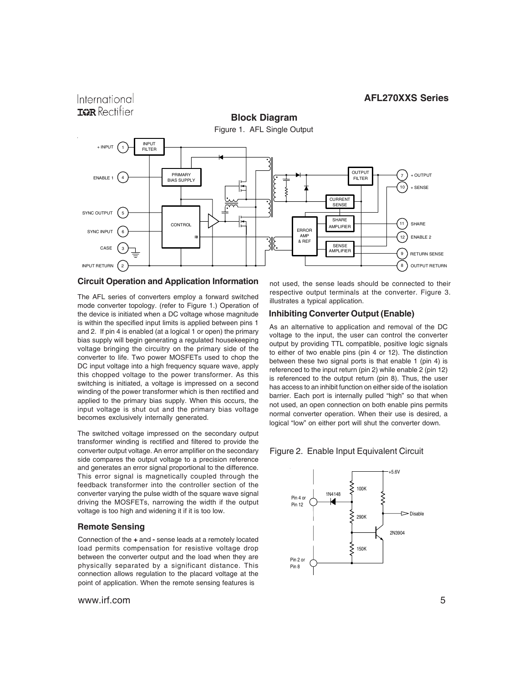

#### **Circuit Operation and Application Information**

The AFL series of converters employ a forward switched mode converter topology. (refer to Figure 1.) Operation of the device is initiated when a DC voltage whose magnitude is within the specified input limits is applied between pins 1 and 2. If pin 4 is enabled (at a logical 1 or open) the primary bias supply will begin generating a regulated housekeeping voltage bringing the circuitry on the primary side of the converter to life. Two power MOSFETs used to chop the DC input voltage into a high frequency square wave, apply this chopped voltage to the power transformer. As this switching is initiated, a voltage is impressed on a second winding of the power transformer which is then rectified and applied to the primary bias supply. When this occurs, the input voltage is shut out and the primary bias voltage becomes exclusively internally generated.

The switched voltage impressed on the secondary output transformer winding is rectified and filtered to provide the converter output voltage. An error amplifier on the secondary side compares the output voltage to a precision reference and generates an error signal proportional to the difference. This error signal is magnetically coupled through the feedback transformer into the controller section of the converter varying the pulse width of the square wave signal driving the MOSFETs, narrowing the width if the output voltage is too high and widening it if it is too low.

#### **Remote Sensing**

International

Connection of the **+** and **-** sense leads at a remotely located load permits compensation for resistive voltage drop between the converter output and the load when they are physically separated by a significant distance. This connection allows regulation to the placard voltage at the point of application. When the remote sensing features is

www.irf.com 5

not used, the sense leads should be connected to their respective output terminals at the converter. Figure 3. illustrates a typical application.

#### **Inhibiting Converter Output (Enable)**

As an alternative to application and removal of the DC voltage to the input, the user can control the converter output by providing TTL compatible, positive logic signals to either of two enable pins (pin 4 or 12). The distinction between these two signal ports is that enable 1 (pin 4) is referenced to the input return (pin 2) while enable 2 (pin 12) is referenced to the output return (pin 8). Thus, the user has access to an inhibit function on either side of the isolation barrier. Each port is internally pulled "high" so that when not used, an open connection on both enable pins permits normal converter operation. When their use is desired, a logical "low" on either port will shut the converter down.

#### Figure 2. Enable Input Equivalent Circuit

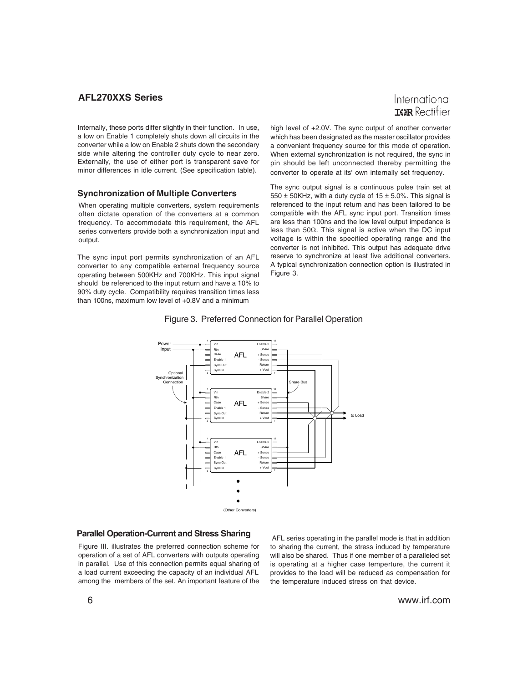International **TOR** Rectifier

Internally, these ports differ slightly in their function. In use, a low on Enable 1 completely shuts down all circuits in the converter while a low on Enable 2 shuts down the secondary side while altering the controller duty cycle to near zero. Externally, the use of either port is transparent save for minor differences in idle current. (See specification table).

#### **Synchronization of Multiple Converters**

When operating multiple converters, system requirements often dictate operation of the converters at a common frequency. To accommodate this requirement, the AFL series converters provide both a synchronization input and output.

The sync input port permits synchronization of an AFL converter to any compatible external frequency source operating between 500KHz and 700KHz. This input signal should be referenced to the input return and have a 10% to 90% duty cycle. Compatibility requires transition times less than 100ns, maximum low level of +0.8V and a minimum

high level of +2.0V. The sync output of another converter which has been designated as the master oscillator provides a convenient frequency source for this mode of operation. When external synchronization is not required, the sync in pin should be left unconnected thereby permitting the converter to operate at its' own internally set frequency.

The sync output signal is a continuous pulse train set at 550  $\pm$  50KHz, with a duty cycle of 15  $\pm$  5.0%. This signal is referenced to the input return and has been tailored to be compatible with the AFL sync input port. Transition times are less than 100ns and the low level output impedance is less than 50Ω. This signal is active when the DC input voltage is within the specified operating range and the converter is not inhibited. This output has adequate drive reserve to synchronize at least five additional converters. A typical synchronization connection option is illustrated in Figure 3.



#### Figure 3. Preferred Connection for Parallel Operation

#### **Parallel Operation-Current and Stress Sharing**

Figure III. illustrates the preferred connection scheme for operation of a set of AFL converters with outputs operating in parallel. Use of this connection permits equal sharing of a load current exceeding the capacity of an individual AFL among the members of the set. An important feature of the

 AFL series operating in the parallel mode is that in addition to sharing the current, the stress induced by temperature will also be shared. Thus if one member of a paralleled set is operating at a higher case temperture, the current it provides to the load will be reduced as compensation for the temperature induced stress on that device.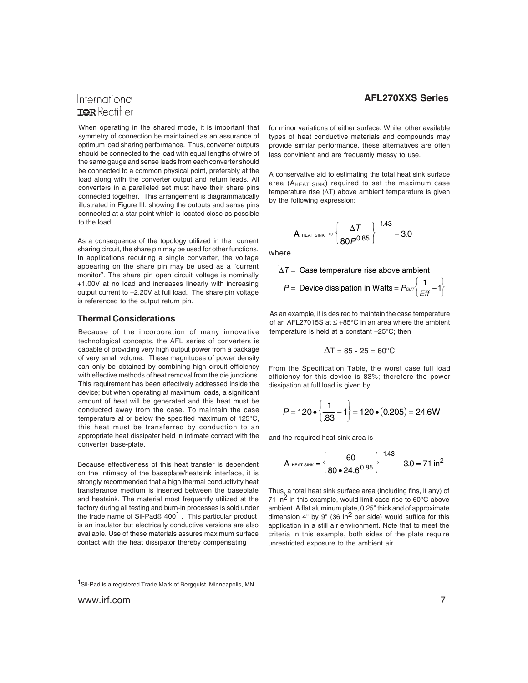# International **TOR** Rectifier

When operating in the shared mode, it is important that symmetry of connection be maintained as an assurance of optimum load sharing performance. Thus, converter outputs should be connected to the load with equal lengths of wire of the same gauge and sense leads from each converter should be connected to a common physical point, preferably at the load along with the converter output and return leads. All converters in a paralleled set must have their share pins connected together. This arrangement is diagrammatically illustrated in Figure III. showing the outputs and sense pins connected at a star point which is located close as possible to the load.

As a consequence of the topology utilized in the current sharing circuit, the share pin may be used for other functions. In applications requiring a single converter, the voltage appearing on the share pin may be used as a "current monitor". The share pin open circuit voltage is nominally +1.00V at no load and increases linearly with increasing output current to +2.20V at full load. The share pin voltage is referenced to the output return pin.

#### **Thermal Considerations**

Because of the incorporation of many innovative technological concepts, the AFL series of converters is capable of providing very high output power from a package of very small volume. These magnitudes of power density can only be obtained by combining high circuit efficiency with effective methods of heat removal from the die junctions. This requirement has been effectively addressed inside the device; but when operating at maximum loads, a significant amount of heat will be generated and this heat must be conducted away from the case. To maintain the case temperature at or below the specified maximum of 125°C, this heat must be transferred by conduction to an appropriate heat dissipater held in intimate contact with the converter base-plate.

Because effectiveness of this heat transfer is dependent on the intimacy of the baseplate/heatsink interface, it is strongly recommended that a high thermal conductivity heat transferance medium is inserted between the baseplate and heatsink. The material most frequently utilized at the factory during all testing and burn-in processes is sold under the trade name of Sil-Pad®  $400<sup>1</sup>$ . This particular product is an insulator but electrically conductive versions are also available. Use of these materials assures maximum surface contact with the heat dissipator thereby compensating

#### **AFL270XXS Series**

for minor variations of either surface. While other available types of heat conductive materials and compounds may provide similar performance, these alternatives are often less convinient and are frequently messy to use.

A conservative aid to estimating the total heat sink surface area (AHEAT SINK) required to set the maximum case temperature rise (ΔT) above ambient temperature is given by the following expression:

$$
A_{\text{ HEAT SINK}} \approx \left\{\frac{\Delta T}{80P^{0.85}}\right\}^{-1.43} - 3.0
$$

where

∆*T* = Case temperature rise above ambient  $P =$  Device dissipation in Watts =  $P_{\text{corr}}\left(\frac{1}{\text{Eff}}\right)$  $P =$  Device dissipation in Watts =  $P_{\text{corr}}\left\{\frac{1}{\text{Eff}}-1\right\}$ 

As an example, it is desired to maintain the case temperature of an AFL27015S at ≤ +85°C in an area where the ambient temperature is held at a constant +25°C; then

$$
\Delta T = 85 - 25 = 60^{\circ}C
$$

From the Specification Table, the worst case full load efficiency for this device is 83%; therefore the power dissipation at full load is given by

$$
P = 120 \cdot \left\{ \frac{1}{.83} - 1 \right\} = 120 \cdot (0.205) = 24.6 \text{W}
$$

and the required heat sink area is

$$
A_{\text{ HEAT SINK}} = \left\{ \frac{60}{80 \cdot 24.6^{0.85}} \right\}^{-1.43} - 3.0 = 71 \text{ in}^2
$$

Thus, a total heat sink surface area (including fins, if any) of 71 in<sup>2</sup> in this example, would limit case rise to  $60^{\circ}$ C above ambient. A flat aluminum plate, 0.25" thick and of approximate dimension  $4"$  by  $9"$  (36 in<sup>2</sup> per side) would suffice for this application in a still air environment. Note that to meet the criteria in this example, both sides of the plate require unrestricted exposure to the ambient air.

<sup>1</sup>Sil-Pad is a registered Trade Mark of Bergquist, Minneapolis, MN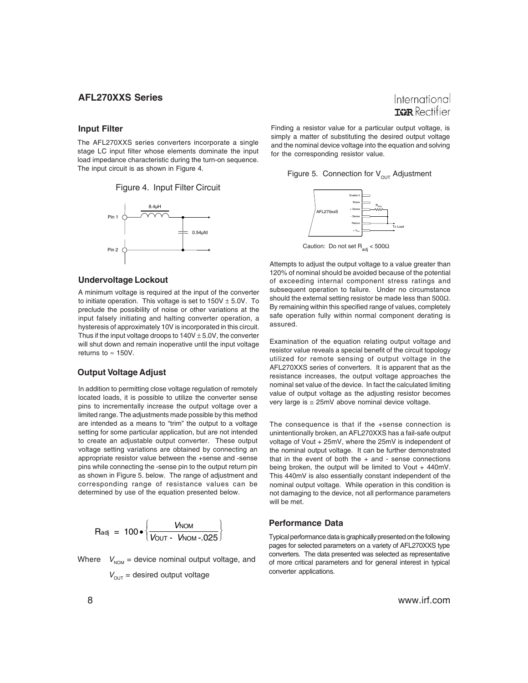#### **Input Filter**

The AFL270XXS series converters incorporate a single stage LC input filter whose elements dominate the input load impedance characteristic during the turn-on sequence. The input circuit is as shown in Figure 4.





#### **Undervoltage Lockout**

A minimum voltage is required at the input of the converter to initiate operation. This voltage is set to  $150V \pm 5.0V$ . To preclude the possibility of noise or other variations at the input falsely initiating and halting converter operation, a hysteresis of approximately 10V is incorporated in this circuit. Thus if the input voltage droops to  $140V \pm 5.0V$ , the converter will shut down and remain inoperative until the input voltage returns to  $\approx$  150V.

#### **Output Voltage Adjust**

In addition to permitting close voltage regulation of remotely located loads, it is possible to utilize the converter sense pins to incrementally increase the output voltage over a limited range. The adjustments made possible by this method are intended as a means to "trim" the output to a voltage setting for some particular application, but are not intended to create an adjustable output converter. These output voltage setting variations are obtained by connecting an appropriate resistor value between the +sense and -sense pins while connecting the -sense pin to the output return pin as shown in Figure 5. below. The range of adjustment and corresponding range of resistance values can be determined by use of the equation presented below.

$$
R_{\text{adj}} = 100 \cdot \left\{ \frac{V_{\text{NOM}}}{V_{\text{OUT}} - V_{\text{NOM}} - .025} \right\}
$$

Where 
$$
V_{\text{NOM}} = \text{device nominal output voltage, and}
$$
  $V_{\text{OUT}} = \text{desired output voltage}$ 

Finding a resistor value for a particular output voltage, is simply a matter of substituting the desired output voltage and the nominal device voltage into the equation and solving for the corresponding resistor value.

Figure 5. Connection for  $V_{OUT}$  Adjustment



Caution: Do not set  $R_{\text{adi}}$  < 500 $\Omega$ 

Attempts to adjust the output voltage to a value greater than 120% of nominal should be avoided because of the potential of exceeding internal component stress ratings and subsequent operation to failure. Under no circumstance should the external setting resistor be made less than 500Ω. By remaining within this specified range of values, completely safe operation fully within normal component derating is assured.

Examination of the equation relating output voltage and resistor value reveals a special benefit of the circuit topology utilized for remote sensing of output voltage in the AFL270XXS series of converters. It is apparent that as the resistance increases, the output voltage approaches the nominal set value of the device. In fact the calculated limiting value of output voltage as the adjusting resistor becomes very large is ≅ 25mV above nominal device voltage.

The consequence is that if the +sense connection is unintentionally broken, an AFL270XXS has a fail-safe output voltage of Vout + 25mV, where the 25mV is independent of the nominal output voltage. It can be further demonstrated that in the event of both the  $+$  and  $-$  sense connections being broken, the output will be limited to Vout + 440mV. This 440mV is also essentially constant independent of the nominal output voltage. While operation in this condition is not damaging to the device, not all performance parameters will he met.

#### **Performance Data**

Typical performance data is graphically presented on the following pages for selected parameters on a variety of AFL270XXS type converters. The data presented was selected as representative of more critical parameters and for general interest in typical converter applications.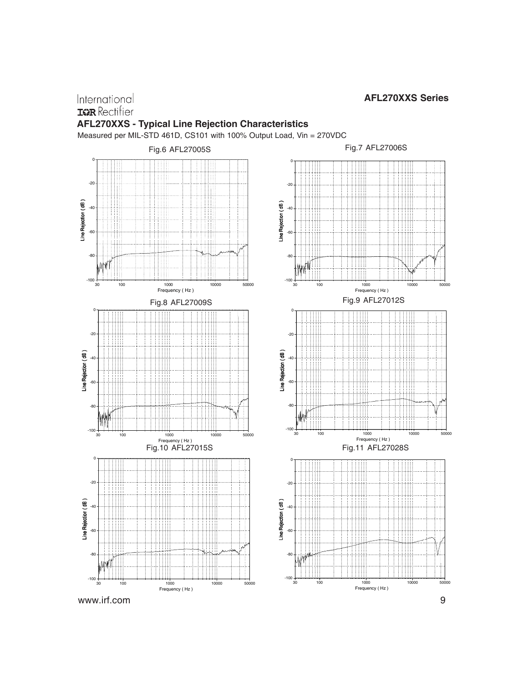# International **IGR** Rectifier **AFL270XXS - Typical Line Rejection Characteristics**

Measured per MIL-STD 461D, CS101 with 100% Output Load, Vin = 270VDC



Fig.11 AFL27028S

ĦĦ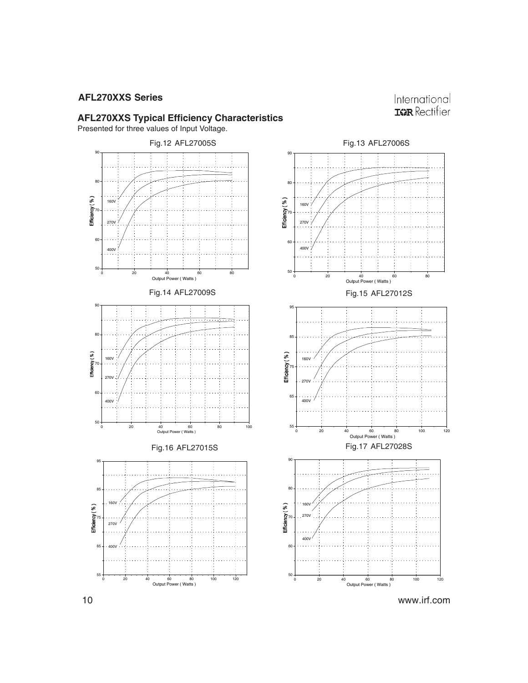# International **IGR** Rectifier

#### **AFL270XXS Typical Efficiency Characteristics**

Presented for three values of Input Voltage.

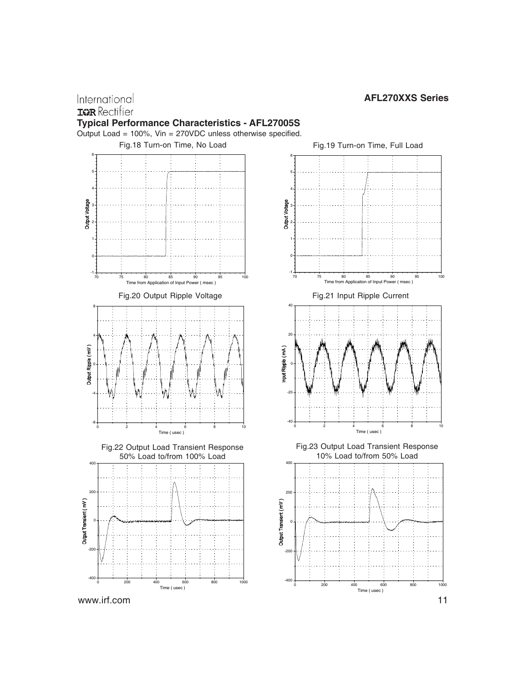

International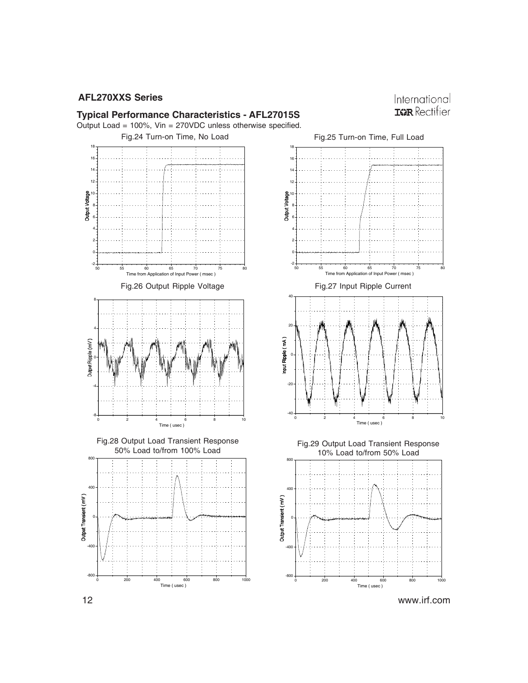

# **Typical Performance Characteristics - AFL27015S** Output Load = 100%, Vin = 270VDC unless otherwise specified.

Fig.24 Turn-on Time, No Load



0 200 400 600 800 1000 Time ( usec )

-800

 $-400$ 





12 www.irf.com

0 200 400 600 800 1000 Time ( usec )

-800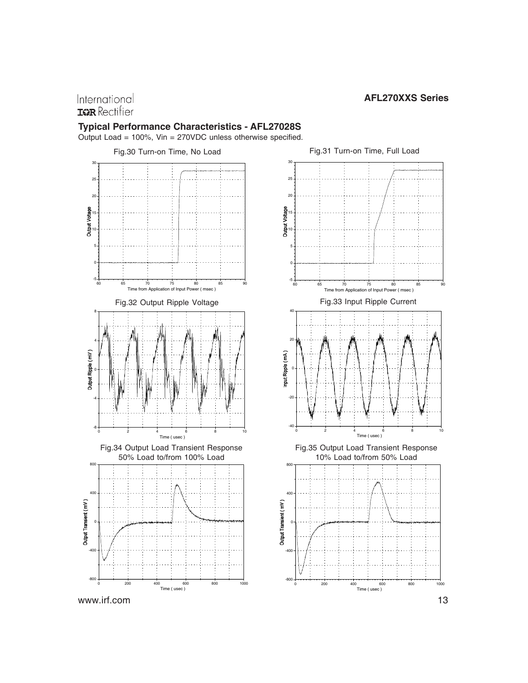# International **IGR** Rectifier

#### **Typical Performance Characteristics - AFL27028S**

Output Load = 100%, Vin = 270VDC unless otherwise specified.







0 200 400 600 800 1000 Time ( usec )

-800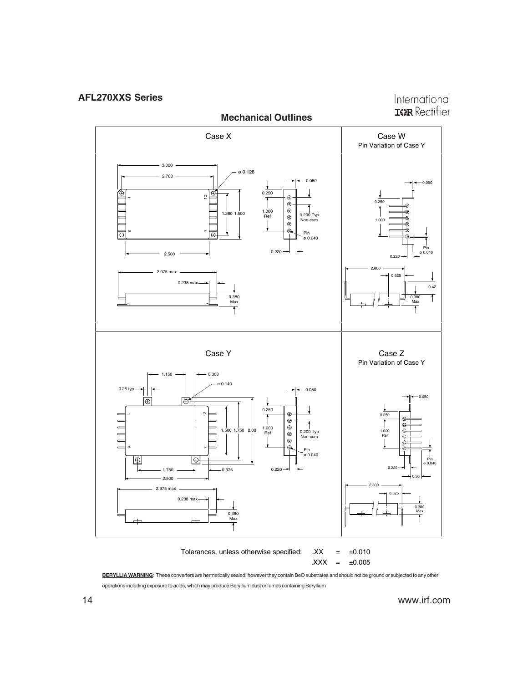International **IGR** Rectifier



**BERYLLIA WARNING**: These converters are hermetically sealed; however they contain BeO substrates and should not be ground or subjected to any other  $.XXX = ±0.005$ 

operations including exposure to acids, which may produce Beryllium dust or fumes containing Beryllium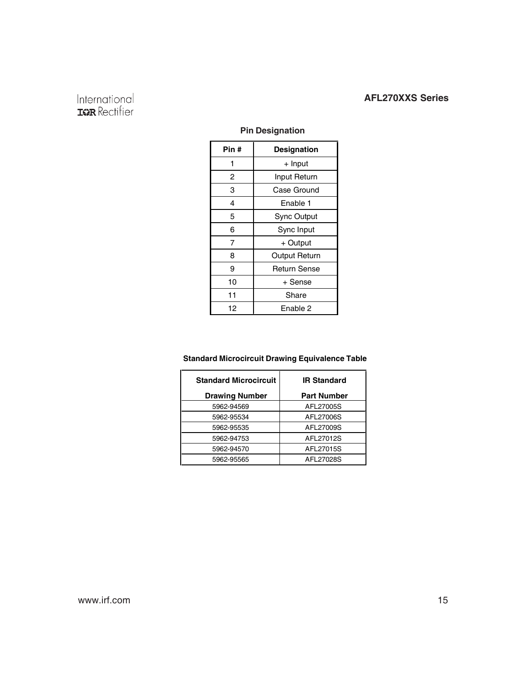# International<br>**IGR** Rectifier

# **Pin Designation**

| Pin # | <b>Designation</b>   |  |  |
|-------|----------------------|--|--|
| 1     | + Input              |  |  |
| 2     | Input Return         |  |  |
| 3     | Case Ground          |  |  |
| 4     | Enable 1             |  |  |
| 5     | <b>Sync Output</b>   |  |  |
| 6     | Sync Input           |  |  |
| 7     | + Output             |  |  |
| 8     | <b>Output Return</b> |  |  |
| 9     | <b>Return Sense</b>  |  |  |
| 10    | + Sense              |  |  |
| 11    | Share                |  |  |
| 12    | Enable 2             |  |  |

#### **Standard Microcircuit Drawing Equivalence Table**

| <b>Standard Microcircuit</b> | <b>IR Standard</b> |  |  |
|------------------------------|--------------------|--|--|
| <b>Drawing Number</b>        | <b>Part Number</b> |  |  |
| 5962-94569                   | AFL27005S          |  |  |
| 5962-95534                   | AFL27006S          |  |  |
| 5962-95535                   | AFL27009S          |  |  |
| 5962-94753                   | AFL27012S          |  |  |
| 5962-94570                   | AFL27015S          |  |  |
| 5962-95565                   | AFL27028S          |  |  |